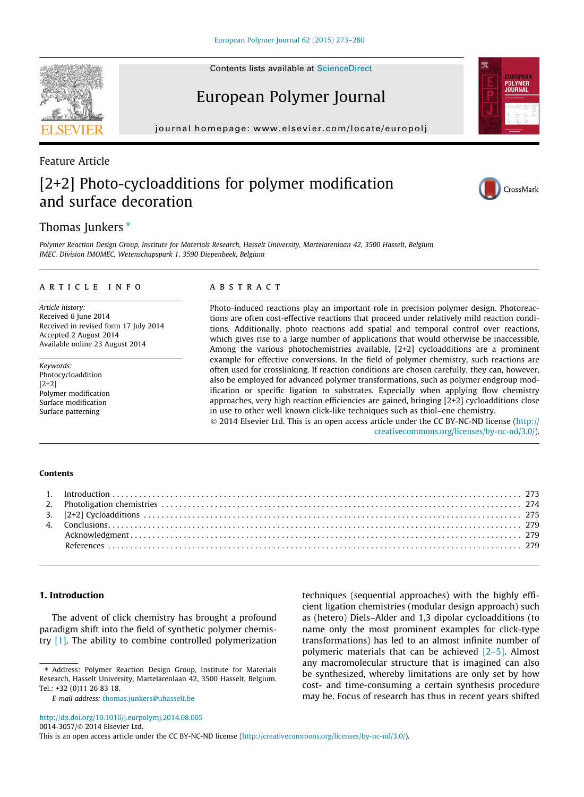Contents lists available at [ScienceDirect](http://www.sciencedirect.com/science/journal/00143057)

# European Polymer Journal

journal homepage: [www.elsevier.com/locate/europolj](http://www.elsevier.com/locate/europolj)

# Feature Article [2+2] Photo-cycloadditions for polymer modification and surface decoration

# Thomas Junkers  $*$

Polymer Reaction Design Group, Institute for Materials Research, Hasselt University, Martelarenlaan 42, 3500 Hasselt, Belgium IMEC, Division IMOMEC, Wetenschapspark 1, 3590 Diepenbeek, Belgium

### article info

Article history: Received 6 June 2014 Received in revised form 17 July 2014 Accepted 2 August 2014 Available online 23 August 2014

Keywords: Photocycloaddition [2+2] Polymer modification Surface modification Surface patterning

# **ABSTRACT**

Photo-induced reactions play an important role in precision polymer design. Photoreactions are often cost-effective reactions that proceed under relatively mild reaction conditions. Additionally, photo reactions add spatial and temporal control over reactions, which gives rise to a large number of applications that would otherwise be inaccessible. Among the various photochemistries available, [2+2] cycloadditions are a prominent example for effective conversions. In the field of polymer chemistry, such reactions are often used for crosslinking. If reaction conditions are chosen carefully, they can, however, also be employed for advanced polymer transformations, such as polymer endgroup modification or specific ligation to substrates. Especially when applying flow chemistry approaches, very high reaction efficiencies are gained, bringing [2+2] cycloadditions close in use to other well known click-like techniques such as thiol–ene chemistry.

 $\odot$  2014 Elsevier Ltd. This is an open access article under the CC BY-NC-ND license [\(http://](http://creativecommons.org/licenses/by-nc-nd/3.0/) [creativecommons.org/licenses/by-nc-nd/3.0/\)](http://creativecommons.org/licenses/by-nc-nd/3.0/).

# Contents

# 1. Introduction

The advent of click chemistry has brought a profound paradigm shift into the field of synthetic polymer chemistry [\[1\].](#page-6-0) The ability to combine controlled polymerization

E-mail address: [thomas.junkers@uhasselt.be](mailto:thomas.junkers@uhasselt.be)

<http://dx.doi.org/10.1016/j.eurpolymj.2014.08.005>

0014-3057/© 2014 Elsevier Ltd.

This is an open access article under the CC BY-NC-ND license ([http://creativecommons.org/licenses/by-nc-nd/3.0/\)](http://creativecommons.org/licenses/by-nc-nd/3.0/).

techniques (sequential approaches) with the highly efficient ligation chemistries (modular design approach) such as (hetero) Diels–Alder and 1,3 dipolar cycloadditions (to name only the most prominent examples for click-type transformations) has led to an almost infinite number of polymeric materials that can be achieved [\[2–5\]](#page-6-0). Almost any macromolecular structure that is imagined can also be synthesized, whereby limitations are only set by how cost- and time-consuming a certain synthesis procedure may be. Focus of research has thus in recent years shifted







<sup>⇑</sup> Address: Polymer Reaction Design Group, Institute for Materials Research, Hasselt University, Martelarenlaan 42, 3500 Hasselt, Belgium. Tel.: +32 (0)11 26 83 18.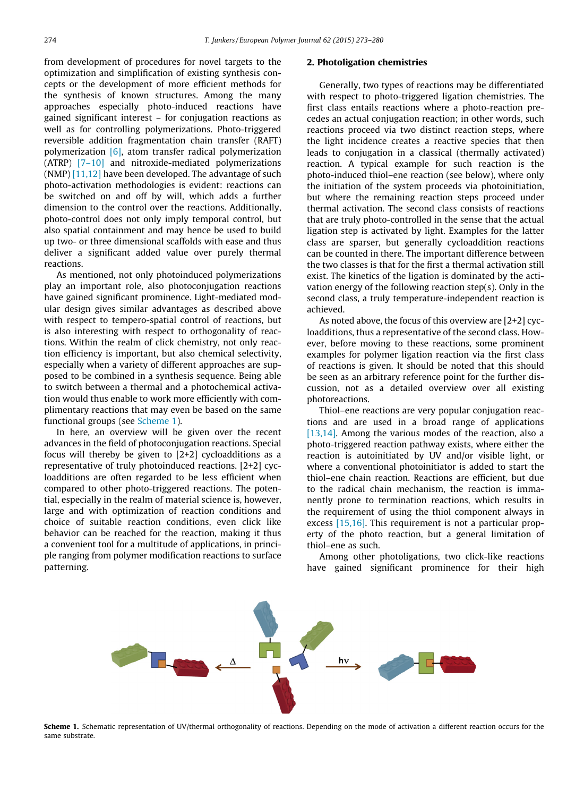from development of procedures for novel targets to the optimization and simplification of existing synthesis concepts or the development of more efficient methods for the synthesis of known structures. Among the many approaches especially photo-induced reactions have gained significant interest – for conjugation reactions as well as for controlling polymerizations. Photo-triggered reversible addition fragmentation chain transfer (RAFT) polymerization [\[6\]](#page-6-0), atom transfer radical polymerization (ATRP) [\[7–10\]](#page-6-0) and nitroxide-mediated polymerizations (NMP) [\[11,12\]](#page-6-0) have been developed. The advantage of such photo-activation methodologies is evident: reactions can be switched on and off by will, which adds a further dimension to the control over the reactions. Additionally, photo-control does not only imply temporal control, but also spatial containment and may hence be used to build up two- or three dimensional scaffolds with ease and thus deliver a significant added value over purely thermal reactions.

As mentioned, not only photoinduced polymerizations play an important role, also photoconjugation reactions have gained significant prominence. Light-mediated modular design gives similar advantages as described above with respect to tempero-spatial control of reactions, but is also interesting with respect to orthogonality of reactions. Within the realm of click chemistry, not only reaction efficiency is important, but also chemical selectivity, especially when a variety of different approaches are supposed to be combined in a synthesis sequence. Being able to switch between a thermal and a photochemical activation would thus enable to work more efficiently with complimentary reactions that may even be based on the same functional groups (see Scheme 1).

In here, an overview will be given over the recent advances in the field of photoconjugation reactions. Special focus will thereby be given to [2+2] cycloadditions as a representative of truly photoinduced reactions. [2+2] cycloadditions are often regarded to be less efficient when compared to other photo-triggered reactions. The potential, especially in the realm of material science is, however, large and with optimization of reaction conditions and choice of suitable reaction conditions, even click like behavior can be reached for the reaction, making it thus a convenient tool for a multitude of applications, in principle ranging from polymer modification reactions to surface patterning.

#### 2. Photoligation chemistries

Generally, two types of reactions may be differentiated with respect to photo-triggered ligation chemistries. The first class entails reactions where a photo-reaction precedes an actual conjugation reaction; in other words, such reactions proceed via two distinct reaction steps, where the light incidence creates a reactive species that then leads to conjugation in a classical (thermally activated) reaction. A typical example for such reaction is the photo-induced thiol–ene reaction (see below), where only the initiation of the system proceeds via photoinitiation, but where the remaining reaction steps proceed under thermal activation. The second class consists of reactions that are truly photo-controlled in the sense that the actual ligation step is activated by light. Examples for the latter class are sparser, but generally cycloaddition reactions can be counted in there. The important difference between the two classes is that for the first a thermal activation still exist. The kinetics of the ligation is dominated by the activation energy of the following reaction step(s). Only in the second class, a truly temperature-independent reaction is achieved.

As noted above, the focus of this overview are [2+2] cycloadditions, thus a representative of the second class. However, before moving to these reactions, some prominent examples for polymer ligation reaction via the first class of reactions is given. It should be noted that this should be seen as an arbitrary reference point for the further discussion, not as a detailed overview over all existing photoreactions.

Thiol–ene reactions are very popular conjugation reactions and are used in a broad range of applications [\[13,14\]](#page-6-0). Among the various modes of the reaction, also a photo-triggered reaction pathway exists, where either the reaction is autoinitiated by UV and/or visible light, or where a conventional photoinitiator is added to start the thiol–ene chain reaction. Reactions are efficient, but due to the radical chain mechanism, the reaction is immanently prone to termination reactions, which results in the requirement of using the thiol component always in excess [\[15,16\]](#page-6-0). This requirement is not a particular property of the photo reaction, but a general limitation of thiol–ene as such.

Among other photoligations, two click-like reactions have gained significant prominence for their high



 $h\nu$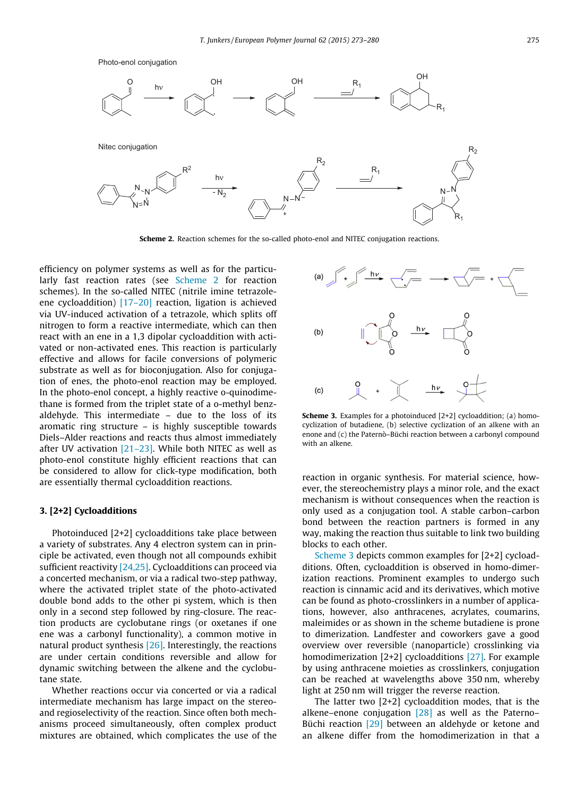

Scheme 2. Reaction schemes for the so-called photo-enol and NITEC conjugation reactions.

efficiency on polymer systems as well as for the particularly fast reaction rates (see Scheme 2 for reaction schemes). In the so-called NITEC (nitrile imine tetrazoleene cycloaddition) [\[17–20\]](#page-6-0) reaction, ligation is achieved via UV-induced activation of a tetrazole, which splits off nitrogen to form a reactive intermediate, which can then react with an ene in a 1,3 dipolar cycloaddition with activated or non-activated enes. This reaction is particularly effective and allows for facile conversions of polymeric substrate as well as for bioconjugation. Also for conjugation of enes, the photo-enol reaction may be employed. In the photo-enol concept, a highly reactive o-quinodimethane is formed from the triplet state of a o-methyl benzaldehyde. This intermediate – due to the loss of its aromatic ring structure – is highly susceptible towards Diels–Alder reactions and reacts thus almost immediately after UV activation [\[21–23\]](#page-6-0). While both NITEC as well as photo-enol constitute highly efficient reactions that can be considered to allow for click-type modification, both are essentially thermal cycloaddition reactions.

### 3. [2+2] Cycloadditions

Photoinduced [2+2] cycloadditions take place between a variety of substrates. Any 4 electron system can in principle be activated, even though not all compounds exhibit sufficient reactivity  $[24,25]$ . Cycloadditions can proceed via a concerted mechanism, or via a radical two-step pathway, where the activated triplet state of the photo-activated double bond adds to the other pi system, which is then only in a second step followed by ring-closure. The reaction products are cyclobutane rings (or oxetanes if one ene was a carbonyl functionality), a common motive in natural product synthesis [\[26\].](#page-6-0) Interestingly, the reactions are under certain conditions reversible and allow for dynamic switching between the alkene and the cyclobutane state.

Whether reactions occur via concerted or via a radical intermediate mechanism has large impact on the stereoand regioselectivity of the reaction. Since often both mechanisms proceed simultaneously, often complex product mixtures are obtained, which complicates the use of the



Scheme 3. Examples for a photoinduced [2+2] cycloaddition; (a) homocyclization of butadiene, (b) selective cyclization of an alkene with an enone and (c) the Paternò–Büchi reaction between a carbonyl compound with an alkene.

reaction in organic synthesis. For material science, however, the stereochemistry plays a minor role, and the exact mechanism is without consequences when the reaction is only used as a conjugation tool. A stable carbon–carbon bond between the reaction partners is formed in any way, making the reaction thus suitable to link two building blocks to each other.

Scheme 3 depicts common examples for [2+2] cycloadditions. Often, cycloaddition is observed in homo-dimerization reactions. Prominent examples to undergo such reaction is cinnamic acid and its derivatives, which motive can be found as photo-crosslinkers in a number of applications, however, also anthracenes, acrylates, coumarins, maleimides or as shown in the scheme butadiene is prone to dimerization. Landfester and coworkers gave a good overview over reversible (nanoparticle) crosslinking via homodimerization [2+2] cycloadditions [\[27\].](#page-7-0) For example by using anthracene moieties as crosslinkers, conjugation can be reached at wavelengths above 350 nm, whereby light at 250 nm will trigger the reverse reaction.

The latter two [2+2] cycloaddition modes, that is the alkene–enone conjugation  $[28]$  as well as the Paterno– Büchi reaction [\[29\]](#page-7-0) between an aldehyde or ketone and an alkene differ from the homodimerization in that a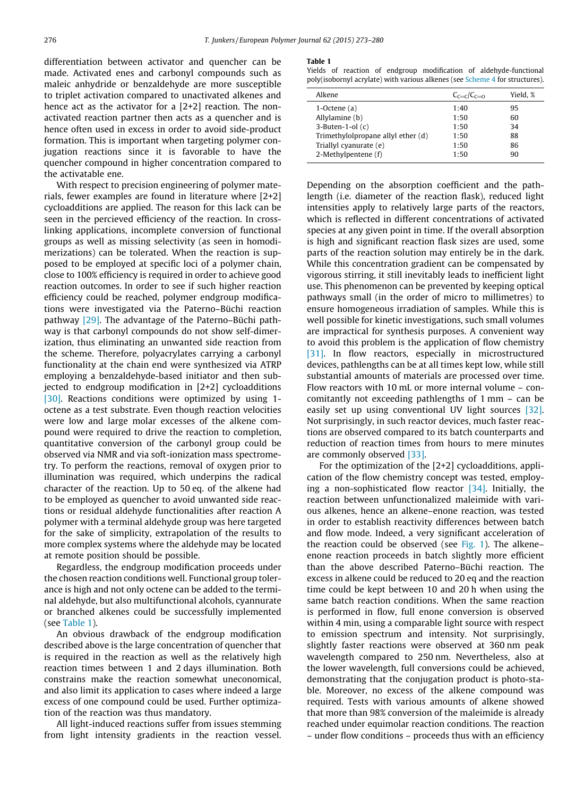differentiation between activator and quencher can be made. Activated enes and carbonyl compounds such as maleic anhydride or benzaldehyde are more susceptible to triplet activation compared to unactivated alkenes and hence act as the activator for a [2+2] reaction. The nonactivated reaction partner then acts as a quencher and is hence often used in excess in order to avoid side-product formation. This is important when targeting polymer conjugation reactions since it is favorable to have the quencher compound in higher concentration compared to the activatable ene.

With respect to precision engineering of polymer materials, fewer examples are found in literature where [2+2] cycloadditions are applied. The reason for this lack can be seen in the percieved efficiency of the reaction. In crosslinking applications, incomplete conversion of functional groups as well as missing selectivity (as seen in homodimerizations) can be tolerated. When the reaction is supposed to be employed at specific loci of a polymer chain, close to 100% efficiency is required in order to achieve good reaction outcomes. In order to see if such higher reaction efficiency could be reached, polymer endgroup modifications were investigated via the Paterno–Büchi reaction pathway [\[29\].](#page-7-0) The advantage of the Paterno–Büchi pathway is that carbonyl compounds do not show self-dimerization, thus eliminating an unwanted side reaction from the scheme. Therefore, polyacrylates carrying a carbonyl functionality at the chain end were synthesized via ATRP employing a benzaldehyde-based initiator and then subjected to endgroup modification in [2+2] cycloadditions [\[30\].](#page-7-0) Reactions conditions were optimized by using 1octene as a test substrate. Even though reaction velocities were low and large molar excesses of the alkene compound were required to drive the reaction to completion, quantitative conversion of the carbonyl group could be observed via NMR and via soft-ionization mass spectrometry. To perform the reactions, removal of oxygen prior to illumination was required, which underpins the radical character of the reaction. Up to 50 eq. of the alkene had to be employed as quencher to avoid unwanted side reactions or residual aldehyde functionalities after reaction A polymer with a terminal aldehyde group was here targeted for the sake of simplicity, extrapolation of the results to more complex systems where the aldehyde may be located at remote position should be possible.

Regardless, the endgroup modification proceeds under the chosen reaction conditions well. Functional group tolerance is high and not only octene can be added to the terminal aldehyde, but also multifunctional alcohols, cyannurate or branched alkenes could be successfully implemented (see Table 1).

An obvious drawback of the endgroup modification described above is the large concentration of quencher that is required in the reaction as well as the relatively high reaction times between 1 and 2 days illumination. Both constrains make the reaction somewhat uneconomical, and also limit its application to cases where indeed a large excess of one compound could be used. Further optimization of the reaction was thus mandatory.

All light-induced reactions suffer from issues stemming from light intensity gradients in the reaction vessel.

#### Table 1

Yields of reaction of endgroup modification of aldehyde-functional poly(isobornyl acrylate) with various alkenes (see [Scheme 4](#page-4-0) for structures).

| Alkene                             | $C_{r=r}/C_{r=r}$ | Yield. % |
|------------------------------------|-------------------|----------|
| $1$ -Octene $(a)$                  | 1:40              | 95       |
| Allylamine (b)                     | 1:50              | 60       |
| $3-Buten-1-ol(c)$                  | 1:50              | 34       |
| Trimethylolpropane allyl ether (d) | 1:50              | 88       |
| Triallyl cyanurate (e)             | 1:50              | 86       |
| 2-Methylpentene (f)                | 1:50              | 90       |

Depending on the absorption coefficient and the pathlength (i.e. diameter of the reaction flask), reduced light intensities apply to relatively large parts of the reactors, which is reflected in different concentrations of activated species at any given point in time. If the overall absorption is high and significant reaction flask sizes are used, some parts of the reaction solution may entirely be in the dark. While this concentration gradient can be compensated by vigorous stirring, it still inevitably leads to inefficient light use. This phenomenon can be prevented by keeping optical pathways small (in the order of micro to millimetres) to ensure homogeneous irradiation of samples. While this is well possible for kinetic investigations, such small volumes are impractical for synthesis purposes. A convenient way to avoid this problem is the application of flow chemistry [\[31\].](#page-7-0) In flow reactors, especially in microstructured devices, pathlengths can be at all times kept low, while still substantial amounts of materials are processed over time. Flow reactors with 10 mL or more internal volume – concomitantly not exceeding pathlengths of 1 mm – can be easily set up using conventional UV light sources [\[32\]](#page-7-0). Not surprisingly, in such reactor devices, much faster reactions are observed compared to its batch counterparts and reduction of reaction times from hours to mere minutes are commonly observed [\[33\].](#page-7-0)

For the optimization of the [2+2] cycloadditions, application of the flow chemistry concept was tested, employing a non-sophisticated flow reactor  $[34]$ . Initially, the reaction between unfunctionalized maleimide with various alkenes, hence an alkene–enone reaction, was tested in order to establish reactivity differences between batch and flow mode. Indeed, a very significant acceleration of the reaction could be observed (see [Fig. 1\)](#page-4-0). The alkene– enone reaction proceeds in batch slightly more efficient than the above described Paterno–Büchi reaction. The excess in alkene could be reduced to 20 eq and the reaction time could be kept between 10 and 20 h when using the same batch reaction conditions. When the same reaction is performed in flow, full enone conversion is observed within 4 min, using a comparable light source with respect to emission spectrum and intensity. Not surprisingly, slightly faster reactions were observed at 360 nm peak wavelength compared to 250 nm. Nevertheless, also at the lower wavelength, full conversions could be achieved, demonstrating that the conjugation product is photo-stable. Moreover, no excess of the alkene compound was required. Tests with various amounts of alkene showed that more than 98% conversion of the maleimide is already reached under equimolar reaction conditions. The reaction – under flow conditions – proceeds thus with an efficiency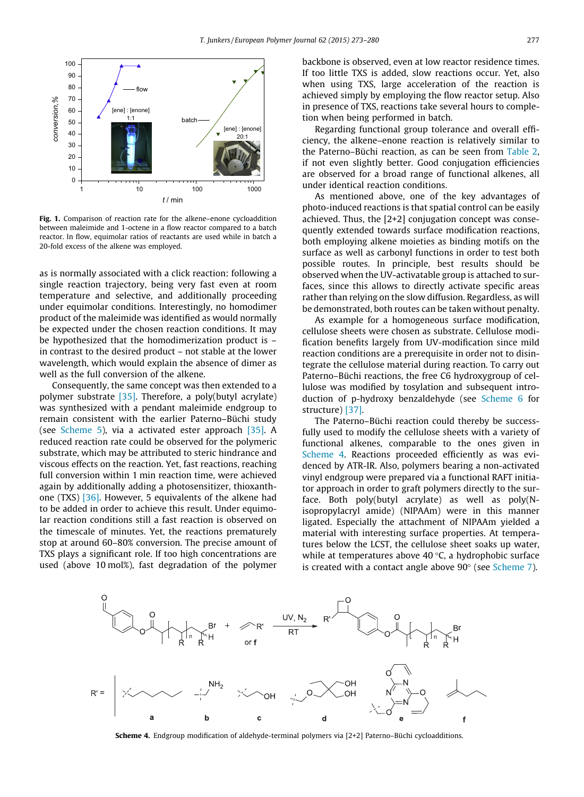<span id="page-4-0"></span>

Fig. 1. Comparison of reaction rate for the alkene–enone cycloaddition between maleimide and 1-octene in a flow reactor compared to a batch reactor. In flow, equimolar ratios of reactants are used while in batch a 20-fold excess of the alkene was employed.

as is normally associated with a click reaction: following a single reaction trajectory, being very fast even at room temperature and selective, and additionally proceeding under equimolar conditions. Interestingly, no homodimer product of the maleimide was identified as would normally be expected under the chosen reaction conditions. It may be hypothesized that the homodimerization product is – in contrast to the desired product – not stable at the lower wavelength, which would explain the absence of dimer as well as the full conversion of the alkene.

Consequently, the same concept was then extended to a polymer substrate [\[35\]](#page-7-0). Therefore, a poly(butyl acrylate) was synthesized with a pendant maleimide endgroup to remain consistent with the earlier Paterno–Büchi study (see [Scheme 5](#page-5-0)), via a activated ester approach [\[35\]](#page-7-0). A reduced reaction rate could be observed for the polymeric substrate, which may be attributed to steric hindrance and viscous effects on the reaction. Yet, fast reactions, reaching full conversion within 1 min reaction time, were achieved again by additionally adding a photosensitizer, thioxanthone (TXS) [\[36\].](#page-7-0) However, 5 equivalents of the alkene had to be added in order to achieve this result. Under equimolar reaction conditions still a fast reaction is observed on the timescale of minutes. Yet, the reactions prematurely stop at around 60–80% conversion. The precise amount of TXS plays a significant role. If too high concentrations are used (above 10 mol%), fast degradation of the polymer backbone is observed, even at low reactor residence times. If too little TXS is added, slow reactions occur. Yet, also when using TXS, large acceleration of the reaction is achieved simply by employing the flow reactor setup. Also in presence of TXS, reactions take several hours to completion when being performed in batch.

Regarding functional group tolerance and overall efficiency, the alkene–enone reaction is relatively similar to the Paterno–Büchi reaction, as can be seen from [Table 2](#page-5-0), if not even slightly better. Good conjugation efficiencies are observed for a broad range of functional alkenes, all under identical reaction conditions.

As mentioned above, one of the key advantages of photo-induced reactions is that spatial control can be easily achieved. Thus, the [2+2] conjugation concept was consequently extended towards surface modification reactions, both employing alkene moieties as binding motifs on the surface as well as carbonyl functions in order to test both possible routes. In principle, best results should be observed when the UV-activatable group is attached to surfaces, since this allows to directly activate specific areas rather than relying on the slow diffusion. Regardless, as will be demonstrated, both routes can be taken without penalty.

As example for a homogeneous surface modification, cellulose sheets were chosen as substrate. Cellulose modification benefits largely from UV-modification since mild reaction conditions are a prerequisite in order not to disintegrate the cellulose material during reaction. To carry out Paterno–Büchi reactions, the free C6 hydroxygroup of cellulose was modified by tosylation and subsequent introduction of p-hydroxy benzaldehyde (see [Scheme 6](#page-5-0) for structure) [\[37\]](#page-7-0).

The Paterno–Büchi reaction could thereby be successfully used to modify the cellulose sheets with a variety of functional alkenes, comparable to the ones given in Scheme 4. Reactions proceeded efficiently as was evidenced by ATR-IR. Also, polymers bearing a non-activated vinyl endgroup were prepared via a functional RAFT initiator approach in order to graft polymers directly to the surface. Both poly(butyl acrylate) as well as poly(Nisopropylacryl amide) (NIPAAm) were in this manner ligated. Especially the attachment of NIPAAm yielded a material with interesting surface properties. At temperatures below the LCST, the cellulose sheet soaks up water, while at temperatures above 40 $\degree$ C, a hydrophobic surface is created with a contact angle above  $90^{\circ}$  (see [Scheme 7](#page-5-0)).



Scheme 4. Endgroup modification of aldehyde-terminal polymers via [2+2] Paterno–Büchi cycloadditions.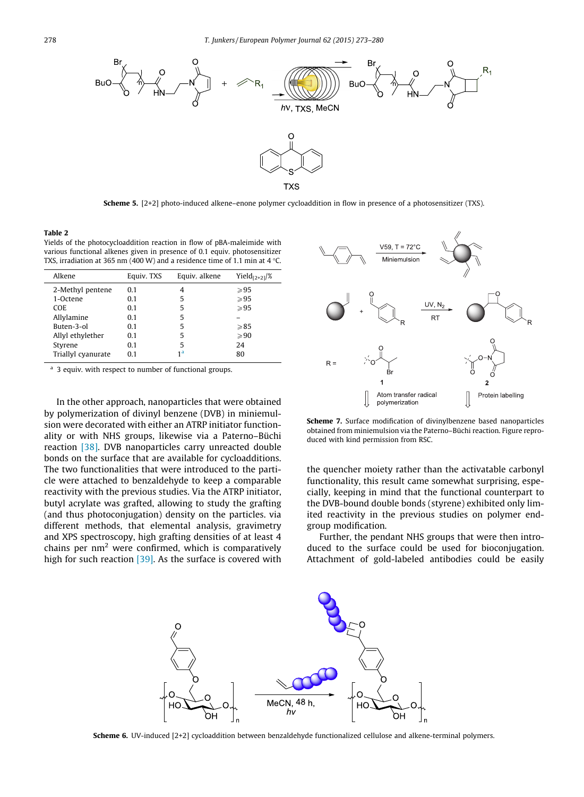<span id="page-5-0"></span>

Scheme 5. [2+2] photo-induced alkene–enone polymer cycloaddition in flow in presence of a photosensitizer (TXS).

#### Table 2

Yields of the photocycloaddition reaction in flow of pBA-maleimide with various functional alkenes given in presence of 0.1 equiv. photosensitizer TXS, irradiation at 365 nm (400 W) and a residence time of 1.1 min at 4 °C.

| Alkene             | Equiv. TXS | Equiv. alkene  | Yiel $d_{[2+2]}/\%$ |
|--------------------|------------|----------------|---------------------|
| 2-Methyl pentene   | 0.1        | 4              | >95                 |
| 1-Octene           | 0.1        | 5              | $\geqslant$ 95      |
| COE.               | 0.1        | 5              | $\geqslant$ 95      |
| Allylamine         | 0.1        | 5              |                     |
| Buten-3-ol         | 0.1        | 5              | $\geqslant$ 85      |
| Allyl ethylether   | 0.1        | 5              | $\geqslant 90$      |
| Styrene            | 0.1        | 5              | 24                  |
| Triallyl cyanurate | 0.1        | 1 <sup>a</sup> | 80                  |

3 equiv. with respect to number of functional groups.

In the other approach, nanoparticles that were obtained by polymerization of divinyl benzene (DVB) in miniemulsion were decorated with either an ATRP initiator functionality or with NHS groups, likewise via a Paterno–Büchi reaction [\[38\]](#page-7-0). DVB nanoparticles carry unreacted double bonds on the surface that are available for cycloadditions. The two functionalities that were introduced to the particle were attached to benzaldehyde to keep a comparable reactivity with the previous studies. Via the ATRP initiator, butyl acrylate was grafted, allowing to study the grafting (and thus photoconjugation) density on the particles. via different methods, that elemental analysis, gravimetry and XPS spectroscopy, high grafting densities of at least 4 chains per  $nm<sup>2</sup>$  were confirmed, which is comparatively high for such reaction  $[39]$ . As the surface is covered with



Scheme 7. Surface modification of divinylbenzene based nanoparticles obtained from miniemulsion via the Paterno–Büchi reaction. Figure reproduced with kind permission from RSC.

the quencher moiety rather than the activatable carbonyl functionality, this result came somewhat surprising, especially, keeping in mind that the functional counterpart to the DVB-bound double bonds (styrene) exhibited only limited reactivity in the previous studies on polymer endgroup modification.

Further, the pendant NHS groups that were then introduced to the surface could be used for bioconjugation. Attachment of gold-labeled antibodies could be easily



Scheme 6. UV-induced [2+2] cycloaddition between benzaldehyde functionalized cellulose and alkene-terminal polymers.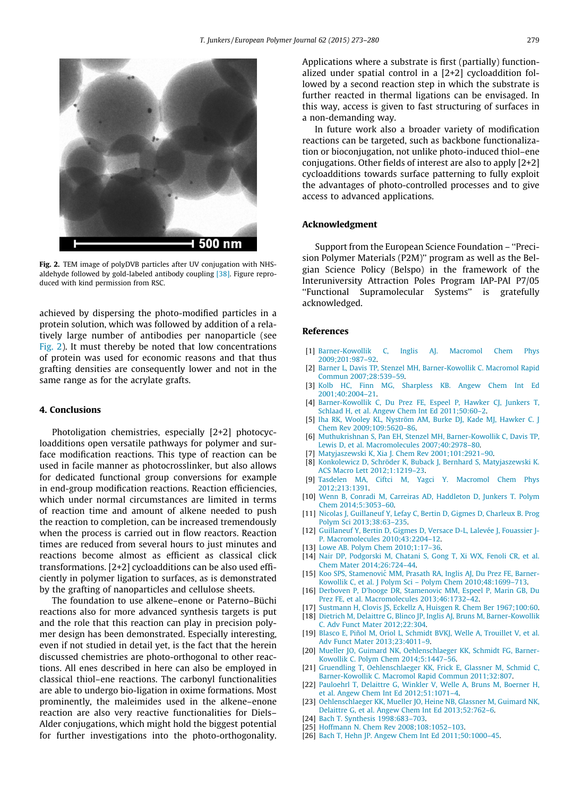<span id="page-6-0"></span>

Fig. 2. TEM image of polyDVB particles after UV conjugation with NHSaldehyde followed by gold-labeled antibody coupling [\[38\]](#page-7-0). Figure reproduced with kind permission from RSC.

achieved by dispersing the photo-modified particles in a protein solution, which was followed by addition of a relatively large number of antibodies per nanoparticle (see Fig. 2). It must thereby be noted that low concentrations of protein was used for economic reasons and that thus grafting densities are consequently lower and not in the same range as for the acrylate grafts.

# 4. Conclusions

Photoligation chemistries, especially [2+2] photocycloadditions open versatile pathways for polymer and surface modification reactions. This type of reaction can be used in facile manner as photocrosslinker, but also allows for dedicated functional group conversions for example in end-group modification reactions. Reaction efficiencies, which under normal circumstances are limited in terms of reaction time and amount of alkene needed to push the reaction to completion, can be increased tremendously when the process is carried out in flow reactors. Reaction times are reduced from several hours to just minutes and reactions become almost as efficient as classical click transformations. [2+2] cycloadditions can be also used efficiently in polymer ligation to surfaces, as is demonstrated by the grafting of nanoparticles and cellulose sheets.

The foundation to use alkene–enone or Paterno–Büchi reactions also for more advanced synthesis targets is put and the role that this reaction can play in precision polymer design has been demonstrated. Especially interesting, even if not studied in detail yet, is the fact that the herein discussed chemistries are photo-orthogonal to other reactions. All enes described in here can also be employed in classical thiol–ene reactions. The carbonyl functionalities are able to undergo bio-ligation in oxime formations. Most prominently, the maleimides used in the alkene–enone reaction are also very reactive functionalities for Diels– Alder conjugations, which might hold the biggest potential for further investigations into the photo-orthogonality. Applications where a substrate is first (partially) functionalized under spatial control in a [2+2] cycloaddition followed by a second reaction step in which the substrate is further reacted in thermal ligations can be envisaged. In this way, access is given to fast structuring of surfaces in a non-demanding way.

In future work also a broader variety of modification reactions can be targeted, such as backbone functionalization or bioconjugation, not unlike photo-induced thiol–ene conjugations. Other fields of interest are also to apply [2+2] cycloadditions towards surface patterning to fully exploit the advantages of photo-controlled processes and to give access to advanced applications.

#### Acknowledgment

Support from the European Science Foundation – ''Precision Polymer Materials (P2M)'' program as well as the Belgian Science Policy (Belspo) in the framework of the Interuniversity Attraction Poles Program IAP-PAI P7/05 ''Functional Supramolecular Systems'' is gratefully acknowledged.

# References

- [1] Barner-Kowollik C, Inglis AI, Macromol Chem Phys [2009;201:987–92.](http://refhub.elsevier.com/S0014-3057(14)00281-X/h0005)
- [2] [Barner L, Davis TP, Stenzel MH, Barner-Kowollik C. Macromol Rapid](http://refhub.elsevier.com/S0014-3057(14)00281-X/h0010) [Commun 2007;28:539–59](http://refhub.elsevier.com/S0014-3057(14)00281-X/h0010).
- [3] [Kolb HC, Finn MG, Sharpless KB. Angew Chem Int Ed](http://refhub.elsevier.com/S0014-3057(14)00281-X/h0015) [2001;40:2004–21.](http://refhub.elsevier.com/S0014-3057(14)00281-X/h0015)
- [4] [Barner-Kowollik C, Du Prez FE, Espeel P, Hawker CJ, Junkers T,](http://refhub.elsevier.com/S0014-3057(14)00281-X/h0020) [Schlaad H, et al. Angew Chem Int Ed 2011;50:60–2](http://refhub.elsevier.com/S0014-3057(14)00281-X/h0020).
- [5] [Iha RK, Wooley KL, Nyström AM, Burke DJ, Kade MJ, Hawker C. J](http://refhub.elsevier.com/S0014-3057(14)00281-X/h0025) [Chem Rev 2009;109:5620–86](http://refhub.elsevier.com/S0014-3057(14)00281-X/h0025).
- [6] [Muthukrishnan S, Pan EH, Stenzel MH, Barner-Kowollik C, Davis TP,](http://refhub.elsevier.com/S0014-3057(14)00281-X/h0030) [Lewis D, et al. Macromolecules 2007;40:2978–80](http://refhub.elsevier.com/S0014-3057(14)00281-X/h0030).
- [7] [Matyjaszewski K, Xia J. Chem Rev 2001;101:2921–90.](http://refhub.elsevier.com/S0014-3057(14)00281-X/h0035)
- [8] [Konkolewicz D, Schröder K, Buback J, Bernhard S, Matyjaszewski K.](http://refhub.elsevier.com/S0014-3057(14)00281-X/h0040) [ACS Macro Lett 2012;1:1219–23.](http://refhub.elsevier.com/S0014-3057(14)00281-X/h0040)
- [9] [Tasdelen MA, Ciftci M, Yagci Y. Macromol Chem Phys](http://refhub.elsevier.com/S0014-3057(14)00281-X/h0045) [2012;213:1391](http://refhub.elsevier.com/S0014-3057(14)00281-X/h0045).
- [10] [Wenn B, Conradi M, Carreiras AD, Haddleton D, Junkers T. Polym](http://refhub.elsevier.com/S0014-3057(14)00281-X/h0050) [Chem 2014;5:3053–60](http://refhub.elsevier.com/S0014-3057(14)00281-X/h0050).
- [11] [Nicolas J, Guillaneuf Y, Lefay C, Bertin D, Gigmes D, Charleux B. Prog](http://refhub.elsevier.com/S0014-3057(14)00281-X/h0055) [Polym Sci 2013;38:63–235.](http://refhub.elsevier.com/S0014-3057(14)00281-X/h0055)
- [12] Guillaneuf Y, Bertin D, Gigmes D, Versace D-L, Lalevée J, Fouassier J-[P. Macromolecules 2010;43:2204–12.](http://refhub.elsevier.com/S0014-3057(14)00281-X/h0060)
- [13] Lowe AB. Polym Chem 2010;1:17-36.
- [14] [Nair DP, Podgorski M, Chatani S, Gong T, Xi WX, Fenoli CR, et al.](http://refhub.elsevier.com/S0014-3057(14)00281-X/h0070) [Chem Mater 2014;26:724–44.](http://refhub.elsevier.com/S0014-3057(14)00281-X/h0070)
- [15] Koo SPS, Stamenović [MM, Prasath RA, Inglis AJ, Du Prez FE, Barner-](http://refhub.elsevier.com/S0014-3057(14)00281-X/h0075)[Kowollik C, et al. J Polym Sci – Polym Chem 2010;48:1699–713.](http://refhub.elsevier.com/S0014-3057(14)00281-X/h0075)
- [16] [Derboven P, D'hooge DR, Stamenovic MM, Espeel P, Marin GB, Du](http://refhub.elsevier.com/S0014-3057(14)00281-X/h0080) [Prez FE, et al. Macromolecules 2013;46:1732–42](http://refhub.elsevier.com/S0014-3057(14)00281-X/h0080).
- [17] [Sustmann H, Clovis JS, Eckellz A, Huisgen R. Chem Ber 1967;100:60.](http://refhub.elsevier.com/S0014-3057(14)00281-X/h0085)
- [18] [Dietrich M, Delaittre G, Blinco JP, Inglis AJ, Bruns M, Barner-Kowollik](http://refhub.elsevier.com/S0014-3057(14)00281-X/h0090) [C. Adv Funct Mater 2012;22:304](http://refhub.elsevier.com/S0014-3057(14)00281-X/h0090).
- [19] [Blasco E, Piñol M, Oriol L, Schmidt BVKJ, Welle A, Trouillet V, et al.](http://refhub.elsevier.com/S0014-3057(14)00281-X/h0095) [Adv Funct Mater 2013;23:4011–9.](http://refhub.elsevier.com/S0014-3057(14)00281-X/h0095)
- [20] [Mueller JO, Guimard NK, Oehlenschlaeger KK, Schmidt FG, Barner-](http://refhub.elsevier.com/S0014-3057(14)00281-X/h0100)[Kowollik C. Polym Chem 2014;5:1447–56.](http://refhub.elsevier.com/S0014-3057(14)00281-X/h0100)
- [21] [Gruendling T, Oehlenschlaeger KK, Frick E, Glassner M, Schmid C,](http://refhub.elsevier.com/S0014-3057(14)00281-X/h0105) [Barner-Kowollik C. Macromol Rapid Commun 2011;32:807.](http://refhub.elsevier.com/S0014-3057(14)00281-X/h0105)
- [22] [Pauloehrl T, Delaittre G, Winkler V, Welle A, Bruns M, Boerner H,](http://refhub.elsevier.com/S0014-3057(14)00281-X/h0110) [et al. Angew Chem Int Ed 2012;51:1071–4.](http://refhub.elsevier.com/S0014-3057(14)00281-X/h0110)
- [23] [Oehlenschlaeger KK, Mueller JO, Heine NB, Glassner M, Guimard NK,](http://refhub.elsevier.com/S0014-3057(14)00281-X/h0115) [Delaittre G, et al. Angew Chem Int Ed 2013;52:762–6.](http://refhub.elsevier.com/S0014-3057(14)00281-X/h0115)
- [24] [Bach T. Synthesis 1998:683–703](http://refhub.elsevier.com/S0014-3057(14)00281-X/h0120).
- [25] [Hoffmann N. Chem Rev 2008;108:1052–103.](http://refhub.elsevier.com/S0014-3057(14)00281-X/h0125)
- [26] [Bach T, Hehn JP. Angew Chem Int Ed 2011;50:1000–45.](http://refhub.elsevier.com/S0014-3057(14)00281-X/h0130)